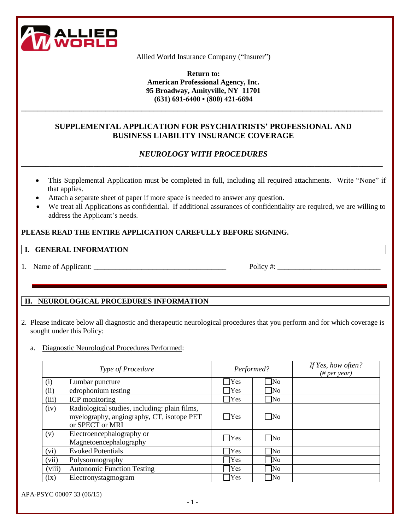

Allied World Insurance Company ("Insurer")

**Return to: American Professional Agency, Inc. 95 Broadway, Amityville, NY 11701 (631) 691-6400 • (800) 421-6694**

# **SUPPLEMENTAL APPLICATION FOR PSYCHIATRISTS' PROFESSIONAL AND BUSINESS LIABILITY INSURANCE COVERAGE**

**\_\_\_\_\_\_\_\_\_\_\_\_\_\_\_\_\_\_\_\_\_\_\_\_\_\_\_\_\_\_\_\_\_\_\_\_\_\_\_\_\_\_\_\_\_\_\_\_\_\_\_\_\_\_\_\_\_\_\_\_\_\_\_\_\_\_\_\_\_\_\_\_\_\_\_\_\_\_\_\_\_\_\_\_\_\_\_\_\_\_**

## *NEUROLOGY WITH PROCEDURES* **\_\_\_\_\_\_\_\_\_\_\_\_\_\_\_\_\_\_\_\_\_\_\_\_\_\_\_\_\_\_\_\_\_\_\_\_\_\_\_\_\_\_\_\_\_\_\_\_\_\_\_\_\_\_\_\_\_\_\_\_\_\_\_\_\_\_\_\_\_\_\_\_\_\_\_\_\_\_\_\_\_\_\_\_\_\_\_\_\_\_**

- This Supplemental Application must be completed in full, including all required attachments. Write "None" if that applies.
- Attach a separate sheet of paper if more space is needed to answer any question.
- We treat all Applications as confidential. If additional assurances of confidentiality are required, we are willing to address the Applicant's needs.

# **PLEASE READ THE ENTIRE APPLICATION CAREFULLY BEFORE SIGNING.**

#### **I. GENERAL INFORMATION**

1. Name of Applicant:  $P$  Policy #:

## **II. NEUROLOGICAL PROCEDURES INFORMATION**

- 2. Please indicate below all diagnostic and therapeutic neurological procedures that you perform and for which coverage is sought under this Policy:
	- a. Diagnostic Neurological Procedures Performed:

| <b>Type of Procedure</b> |                                                                                                               | Performed? |                        | If Yes, how often?<br>$(\# per year)$ |
|--------------------------|---------------------------------------------------------------------------------------------------------------|------------|------------------------|---------------------------------------|
| (i)                      | Lumbar puncture                                                                                               | Yes        | $\overline{\rm No}$    |                                       |
| (ii)                     | edrophonium testing                                                                                           | Yes        | $\overline{N_{0}}$     |                                       |
| (iii)                    | ICP monitoring                                                                                                | Yes        | $\overline{\rm No}$    |                                       |
| (iv)                     | Radiological studies, including: plain films,<br>myelography, angiography, CT, isotope PET<br>or SPECT or MRI | <b>Yes</b> | $\neg$ No              |                                       |
| (v)                      | Electroencephalography or<br>Magnetoencephalography                                                           | Yes        | $\overline{\text{No}}$ |                                       |
| (vi)                     | <b>Evoked Potentials</b>                                                                                      | Yes        | $\overline{\text{No}}$ |                                       |
| (vii)                    | Polysomnography                                                                                               | Yes        | $\overline{N_{0}}$     |                                       |
| (viii)                   | <b>Autonomic Function Testing</b>                                                                             | Yes        | $\overline{N_{0}}$     |                                       |
| (ix)                     | Electronystagmogram                                                                                           | Yes        | $\overline{N_{0}}$     |                                       |

APA-PSYC 00007 33 (06/15)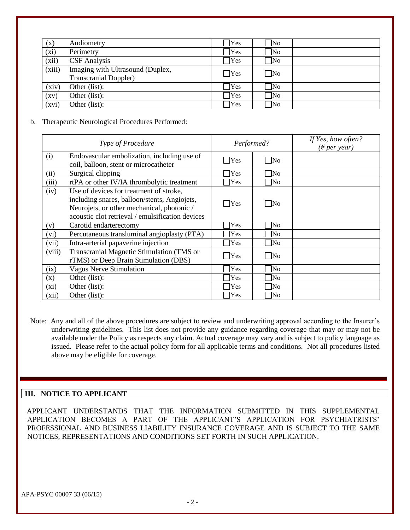| (x)                | Audiometry                                                       | Yes        | $\overline{\rm No}$ |  |
|--------------------|------------------------------------------------------------------|------------|---------------------|--|
| (xi)               | Perimetry                                                        | Yes        | $\Box$ No           |  |
| (xii)              | <b>CSF</b> Analysis                                              | Yes        | $\sqrt{\text{No}}$  |  |
| (xiii)             | Imaging with Ultrasound (Duplex,<br><b>Transcranial Doppler)</b> | $\Box$ Yes | $\neg$ No           |  |
| (xiv)              | Other (list):                                                    | Yes        | $\overline{\rm No}$ |  |
| $\left( xy\right)$ | Other (list):                                                    | Yes        | $\overline{\rm No}$ |  |
| (xvi)              | Other (list):                                                    | Yes        | $\sqrt{N}$          |  |

#### b. Therapeutic Neurological Procedures Performed:

| <b>Type of Procedure</b> |                                                                                                                                                                                           | Performed?       |                     | If Yes, how often?<br>$(\# per year)$ |
|--------------------------|-------------------------------------------------------------------------------------------------------------------------------------------------------------------------------------------|------------------|---------------------|---------------------------------------|
| (i)                      | Endovascular embolization, including use of<br>coil, balloon, stent or microcatheter                                                                                                      | Yes              | $\Box$ No           |                                       |
| (ii)                     | Surgical clipping                                                                                                                                                                         | <b>Yes</b>       | <b>No</b>           |                                       |
| (iii)                    | rtPA or other IV/IA thrombolytic treatment                                                                                                                                                | <b>Yes</b>       | $\overline{\rm No}$ |                                       |
| (iv)                     | Use of devices for treatment of stroke,<br>including snares, balloon/stents, Angiojets,<br>Neurojets, or other mechanical, photonic /<br>acoustic clot retrieval / emulsification devices | Yes              | $\Box$ No           |                                       |
| (v)                      | Carotid endarterectomy                                                                                                                                                                    | Yes              | No                  |                                       |
| (vi)                     | Percutaneous transluminal angioplasty (PTA)                                                                                                                                               | Yes              | No                  |                                       |
| (vii)                    | Intra-arterial papaverine injection                                                                                                                                                       | Yes              | $\n  1No\n$         |                                       |
| (viii)                   | Transcranial Magnetic Stimulation (TMS or<br>rTMS) or Deep Brain Stimulation (DBS)                                                                                                        | T <sub>Yes</sub> | $\vert$ No          |                                       |
| (ix)                     | <b>Vagus Nerve Stimulation</b>                                                                                                                                                            | Yes              | $\overline{N_{0}}$  |                                       |
| (x)                      | Other (list):                                                                                                                                                                             | Yes              | lNo                 |                                       |
| $(x_i)$                  | Other (list):                                                                                                                                                                             | Yes              | $\overline{\rm No}$ |                                       |
| (xii)                    | Other (list):                                                                                                                                                                             | Yes              | $\overline{\rm No}$ |                                       |

Note: Any and all of the above procedures are subject to review and underwriting approval according to the Insurer's underwriting guidelines. This list does not provide any guidance regarding coverage that may or may not be available under the Policy as respects any claim. Actual coverage may vary and is subject to policy language as issued. Please refer to the actual policy form for all applicable terms and conditions. Not all procedures listed above may be eligible for coverage.

## **III. NOTICE TO APPLICANT**

 APPLICANT UNDERSTANDS THAT THE INFORMATION SUBMITTED IN THIS SUPPLEMENTAL APPLICATION BECOMES A PART OF THE APPLICANT'S APPLICATION FOR PSYCHIATRISTS' PROFESSIONAL AND BUSINESS LIABILITY INSURANCE COVERAGE AND IS SUBJECT TO THE SAME NOTICES, REPRESENTATIONS AND CONDITIONS SET FORTH IN SUCH APPLICATION.